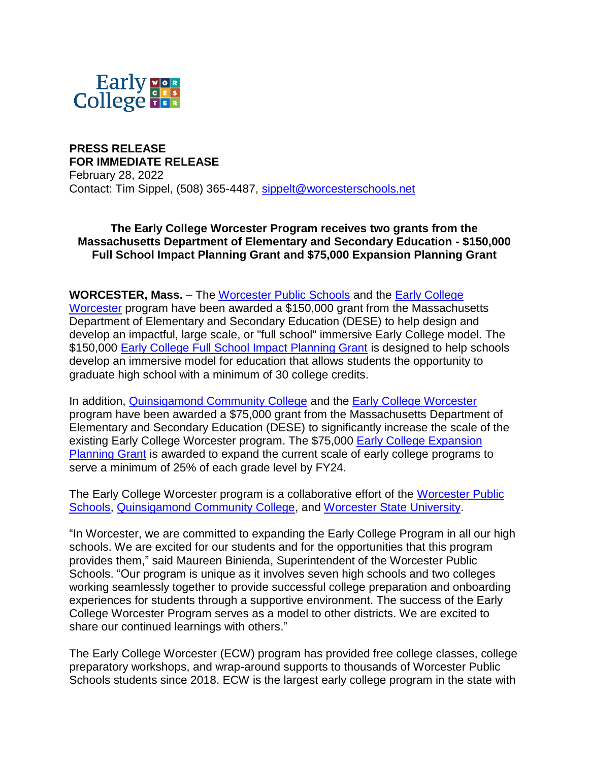

**PRESS RELEASE FOR IMMEDIATE RELEASE** February 28, 2022

Contact: Tim Sippel, (508) 365-4487, [sippelt@worcesterschools.net](mailto:sippelt@worcesterschools.net)

**The Early College Worcester Program receives two grants from the Massachusetts Department of Elementary and Secondary Education - \$150,000 Full School Impact Planning Grant and \$75,000 Expansion Planning Grant**

#### **WORCESTER, Mass.** – The [Worcester Public Schools](https://worcesterschools.org/) and the [Early College](https://www.earlycollegeworcester.org/)

[Worcester](https://www.earlycollegeworcester.org/) program have been awarded a \$150,000 grant from the Massachusetts Department of Elementary and Secondary Education (DESE) to help design and develop an impactful, large scale, or "full school" immersive Early College model. The \$150,000 [Early College Full School Impact Planning Grant](https://www.doe.mass.edu/grants/2022/466/#:~:text=These%20program%20models%20would%20be,routinely%20report%20on%20planning%20outcomes.) is designed to help schools develop an immersive model for education that allows students the opportunity to graduate high school with a minimum of 30 college credits.

In addition, [Quinsigamond Community College](https://www.qcc.edu/) and the [Early College Worcester](https://www.earlycollegeworcester.org/) program have been awarded a \$75,000 grant from the Massachusetts Department of Elementary and Secondary Education (DESE) to significantly increase the scale of the existing Early College Worcester program. The \$75,000 [Early College Expansion](https://www.doe.mass.edu/grants/2022/467/#:~:text=These%20program%20models%20would%20be,routinely%20report%20on%20planning%20outcomes.)  [Planning Grant](https://www.doe.mass.edu/grants/2022/467/#:~:text=These%20program%20models%20would%20be,routinely%20report%20on%20planning%20outcomes.) is awarded to expand the current scale of early college programs to serve a minimum of 25% of each grade level by FY24.

The Early College Worcester program is a collaborative effort of the [Worcester Public](https://worcesterschools.org/)  [Schools,](https://worcesterschools.org/) [Quinsigamond Community College,](https://www.qcc.edu/) and [Worcester State University.](https://www.worcester.edu/)

"In Worcester, we are committed to expanding the Early College Program in all our high schools. We are excited for our students and for the opportunities that this program provides them," said Maureen Binienda, Superintendent of the Worcester Public Schools. "Our program is unique as it involves seven high schools and two colleges working seamlessly together to provide successful college preparation and onboarding experiences for students through a supportive environment. The success of the Early College Worcester Program serves as a model to other districts. We are excited to share our continued learnings with others."

The Early College Worcester (ECW) program has provided free college classes, college preparatory workshops, and wrap-around supports to thousands of Worcester Public Schools students since 2018. ECW is the largest early college program in the state with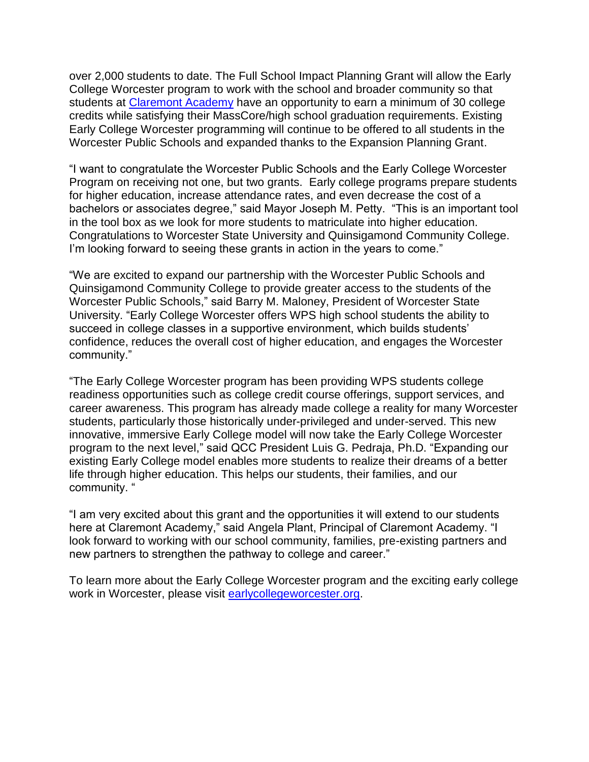over 2,000 students to date. The Full School Impact Planning Grant will allow the Early College Worcester program to work with the school and broader community so that students at [Claremont Academy](https://worcesterschools.org/school/claremont-academy/) have an opportunity to earn a minimum of 30 college credits while satisfying their MassCore/high school graduation requirements. Existing Early College Worcester programming will continue to be offered to all students in the Worcester Public Schools and expanded thanks to the Expansion Planning Grant.

"I want to congratulate the Worcester Public Schools and the Early College Worcester Program on receiving not one, but two grants. Early college programs prepare students for higher education, increase attendance rates, and even decrease the cost of a bachelors or associates degree," said Mayor Joseph M. Petty. "This is an important tool in the tool box as we look for more students to matriculate into higher education. Congratulations to Worcester State University and Quinsigamond Community College. I'm looking forward to seeing these grants in action in the years to come."

"We are excited to expand our partnership with the Worcester Public Schools and Quinsigamond Community College to provide greater access to the students of the Worcester Public Schools," said Barry M. Maloney, President of Worcester State University. "Early College Worcester offers WPS high school students the ability to succeed in college classes in a supportive environment, which builds students' confidence, reduces the overall cost of higher education, and engages the Worcester community."

"The Early College Worcester program has been providing WPS students college readiness opportunities such as college credit course offerings, support services, and career awareness. This program has already made college a reality for many Worcester students, particularly those historically under-privileged and under-served. This new innovative, immersive Early College model will now take the Early College Worcester program to the next level," said QCC President Luis G. Pedraja, Ph.D. "Expanding our existing Early College model enables more students to realize their dreams of a better life through higher education. This helps our students, their families, and our community. "

"I am very excited about this grant and the opportunities it will extend to our students here at Claremont Academy," said Angela Plant, Principal of Claremont Academy. "I look forward to working with our school community, families, pre-existing partners and new partners to strengthen the pathway to college and career."

To learn more about the Early College Worcester program and the exciting early college work in Worcester, please visit [earlycollegeworcester.org.](https://www.earlycollegeworcester.org/)